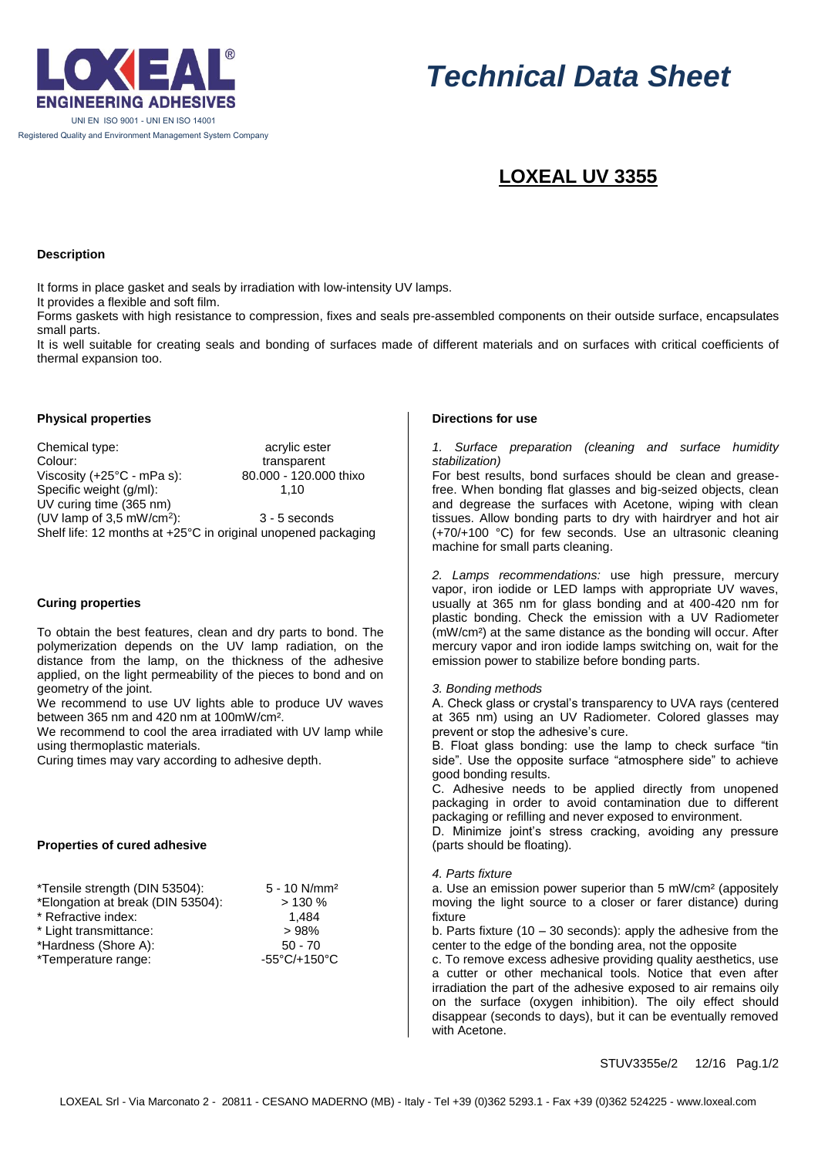

# *Technical Data Sheet*

# **LOXEAL UV 3355**

#### **Description**

It forms in place gasket and seals by irradiation with low-intensity UV lamps.

It provides a flexible and soft film.

Forms gaskets with high resistance to compression, fixes and seals pre-assembled components on their outside surface, encapsulates small parts.

It is well suitable for creating seals and bonding of surfaces made of different materials and on surfaces with critical coefficients of thermal expansion too.

# **Physical properties**

Chemical type: external type: acrylic esternal type: Colour: transparent<br>Viscosity (+25°C - mPa s): 80.000 - 120.000 thixo Viscosity  $(+25^{\circ}$ C - mPa s): Specific weight (g/ml): 1,10 UV curing time (365 nm) (UV lamp of  $3.5$  mW/cm<sup>2</sup>): ): 3 - 5 seconds Shelf life: 12 months at +25°C in original unopened packaging

# **Curing properties**

To obtain the best features, clean and dry parts to bond. The polymerization depends on the UV lamp radiation, on the distance from the lamp, on the thickness of the adhesive applied, on the light permeability of the pieces to bond and on geometry of the joint.

We recommend to use UV lights able to produce UV waves between 365 nm and 420 nm at 100mW/cm².

We recommend to cool the area irradiated with UV lamp while using thermoplastic materials.

Curing times may vary according to adhesive depth.

# **Properties of cured adhesive**

| *Tensile strength (DIN 53504):    | $5 - 10$ N/mm <sup>2</sup> |
|-----------------------------------|----------------------------|
| *Elongation at break (DIN 53504): | >130%                      |
| * Refractive index:               | 1.484                      |
| * Light transmittance:            | >98%                       |
| *Hardness (Shore A):              | $50 - 70$                  |
| *Temperature range:               | -55°C/+150°C               |

# **Directions for use**

*1. Surface preparation (cleaning and surface humidity stabilization)*

For best results, bond surfaces should be clean and greasefree. When bonding flat glasses and big-seized objects, clean and degrease the surfaces with Acetone, wiping with clean tissues. Allow bonding parts to dry with hairdryer and hot air (+70/+100 °C) for few seconds. Use an ultrasonic cleaning machine for small parts cleaning.

*2. Lamps recommendations:* use high pressure, mercury vapor, iron iodide or LED lamps with appropriate UV waves, usually at 365 nm for glass bonding and at 400-420 nm for plastic bonding. Check the emission with a UV Radiometer (mW/cm²) at the same distance as the bonding will occur. After mercury vapor and iron iodide lamps switching on, wait for the emission power to stabilize before bonding parts.

#### *3. Bonding methods*

A. Check glass or crystal's transparency to UVA rays (centered at 365 nm) using an UV Radiometer. Colored glasses may prevent or stop the adhesive's cure.

B. Float glass bonding: use the lamp to check surface "tin side". Use the opposite surface "atmosphere side" to achieve good bonding results.

C. Adhesive needs to be applied directly from unopened packaging in order to avoid contamination due to different packaging or refilling and never exposed to environment.

D. Minimize joint's stress cracking, avoiding any pressure (parts should be floating).

# *4. Parts fixture*

a. Use an emission power superior than 5 mW/cm² (appositely moving the light source to a closer or farer distance) during fixture

b. Parts fixture (10 – 30 seconds): apply the adhesive from the center to the edge of the bonding area, not the opposite

c. To remove excess adhesive providing quality aesthetics, use a cutter or other mechanical tools. Notice that even after irradiation the part of the adhesive exposed to air remains oily on the surface (oxygen inhibition). The oily effect should disappear (seconds to days), but it can be eventually removed with Acetone.

STUV3355e/2 12/16 Pag.1/2